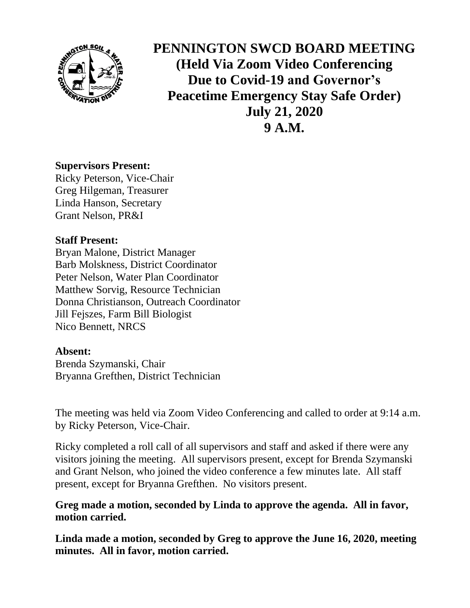

**PENNINGTON SWCD BOARD MEETING (Held Via Zoom Video Conferencing Due to Covid-19 and Governor's Peacetime Emergency Stay Safe Order) July 21, 2020 9 A.M.**

## **Supervisors Present:**

Ricky Peterson, Vice-Chair Greg Hilgeman, Treasurer Linda Hanson, Secretary Grant Nelson, PR&I

## **Staff Present:**

Bryan Malone, District Manager Barb Molskness, District Coordinator Peter Nelson, Water Plan Coordinator Matthew Sorvig, Resource Technician Donna Christianson, Outreach Coordinator Jill Fejszes, Farm Bill Biologist Nico Bennett, NRCS

## **Absent:**

Brenda Szymanski, Chair Bryanna Grefthen, District Technician

The meeting was held via Zoom Video Conferencing and called to order at 9:14 a.m. by Ricky Peterson, Vice-Chair.

Ricky completed a roll call of all supervisors and staff and asked if there were any visitors joining the meeting. All supervisors present, except for Brenda Szymanski and Grant Nelson, who joined the video conference a few minutes late. All staff present, except for Bryanna Grefthen. No visitors present.

# **Greg made a motion, seconded by Linda to approve the agenda. All in favor, motion carried.**

**Linda made a motion, seconded by Greg to approve the June 16, 2020, meeting minutes. All in favor, motion carried.**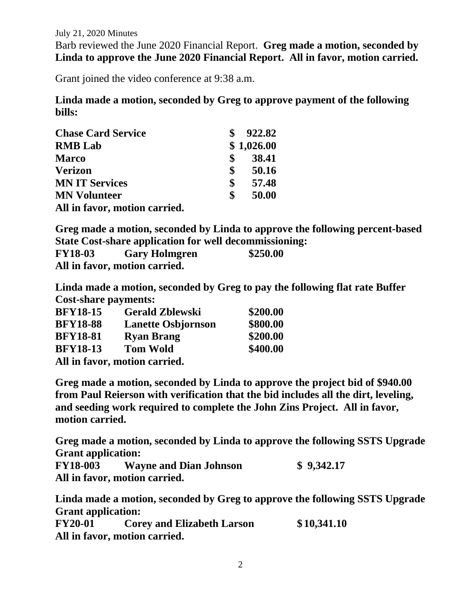Barb reviewed the June 2020 Financial Report. **Greg made a motion, seconded by Linda to approve the June 2020 Financial Report. All in favor, motion carried.**

Grant joined the video conference at 9:38 a.m.

**Linda made a motion, seconded by Greg to approve payment of the following bills:**

| <b>Chase Card Service</b>     | 922.82      |
|-------------------------------|-------------|
| <b>RMB</b> Lab                | \$1,026.00  |
| <b>Marco</b>                  | \$<br>38.41 |
| <b>Verizon</b>                | \$<br>50.16 |
| <b>MN IT Services</b>         | \$<br>57.48 |
| <b>MN Volunteer</b>           | \$<br>50.00 |
| All in favor, motion carried. |             |

**Greg made a motion, seconded by Linda to approve the following percent-based State Cost-share application for well decommissioning:**

| <b>FY18-03</b> | <b>Gary Holmgren</b>          | \$250.00 |
|----------------|-------------------------------|----------|
|                | All in favor, motion carried. |          |

**Linda made a motion, seconded by Greg to pay the following flat rate Buffer Cost-share payments:**

| <b>BFY18-15</b> | <b>Gerald Zblewski</b>        | \$200.00 |
|-----------------|-------------------------------|----------|
| <b>BFY18-88</b> | <b>Lanette Osbjornson</b>     | \$800.00 |
| <b>BFY18-81</b> | <b>Ryan Brang</b>             | \$200.00 |
| <b>BFY18-13</b> | <b>Tom Wold</b>               | \$400.00 |
|                 | All in favor, motion carried. |          |

**Greg made a motion, seconded by Linda to approve the project bid of \$940.00 from Paul Reierson with verification that the bid includes all the dirt, leveling, and seeding work required to complete the John Zins Project. All in favor, motion carried.** 

**Greg made a motion, seconded by Linda to approve the following SSTS Upgrade Grant application:**

**FY18-003 Wayne and Dian Johnson \$ 9,342.17 All in favor, motion carried.**

**Linda made a motion, seconded by Greg to approve the following SSTS Upgrade Grant application:** 

**FY20-01 Corey and Elizabeth Larson \$ 10,341.10 All in favor, motion carried.**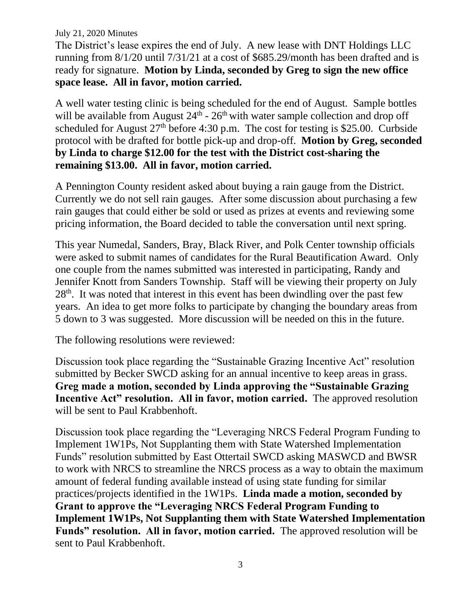The District's lease expires the end of July. A new lease with DNT Holdings LLC running from 8/1/20 until 7/31/21 at a cost of \$685.29/month has been drafted and is ready for signature. **Motion by Linda, seconded by Greg to sign the new office space lease. All in favor, motion carried.**

A well water testing clinic is being scheduled for the end of August. Sample bottles will be available from August  $24<sup>th</sup>$  -  $26<sup>th</sup>$  with water sample collection and drop off scheduled for August  $27<sup>th</sup>$  before 4:30 p.m. The cost for testing is \$25.00. Curbside protocol with be drafted for bottle pick-up and drop-off. **Motion by Greg, seconded by Linda to charge \$12.00 for the test with the District cost-sharing the remaining \$13.00. All in favor, motion carried.** 

A Pennington County resident asked about buying a rain gauge from the District. Currently we do not sell rain gauges. After some discussion about purchasing a few rain gauges that could either be sold or used as prizes at events and reviewing some pricing information, the Board decided to table the conversation until next spring.

This year Numedal, Sanders, Bray, Black River, and Polk Center township officials were asked to submit names of candidates for the Rural Beautification Award. Only one couple from the names submitted was interested in participating, Randy and Jennifer Knott from Sanders Township. Staff will be viewing their property on July 28<sup>th</sup>. It was noted that interest in this event has been dwindling over the past few years. An idea to get more folks to participate by changing the boundary areas from 5 down to 3 was suggested. More discussion will be needed on this in the future.

The following resolutions were reviewed:

Discussion took place regarding the "Sustainable Grazing Incentive Act" resolution submitted by Becker SWCD asking for an annual incentive to keep areas in grass. **Greg made a motion, seconded by Linda approving the "Sustainable Grazing Incentive Act" resolution. All in favor, motion carried.** The approved resolution will be sent to Paul Krabbenhoft.

Discussion took place regarding the "Leveraging NRCS Federal Program Funding to Implement 1W1Ps, Not Supplanting them with State Watershed Implementation Funds" resolution submitted by East Ottertail SWCD asking MASWCD and BWSR to work with NRCS to streamline the NRCS process as a way to obtain the maximum amount of federal funding available instead of using state funding for similar practices/projects identified in the 1W1Ps. **Linda made a motion, seconded by Grant to approve the "Leveraging NRCS Federal Program Funding to Implement 1W1Ps, Not Supplanting them with State Watershed Implementation Funds" resolution. All in favor, motion carried.** The approved resolution will be sent to Paul Krabbenhoft.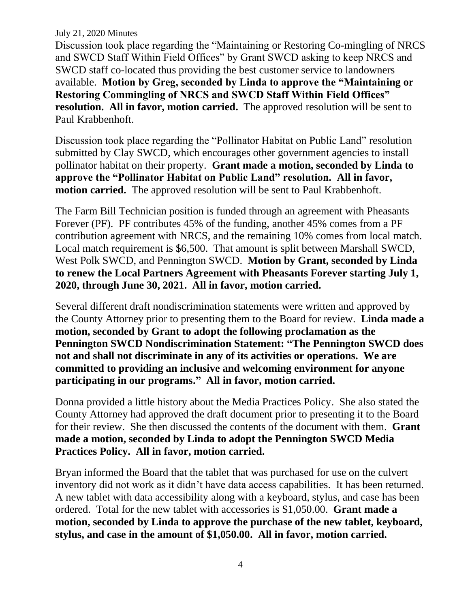Discussion took place regarding the "Maintaining or Restoring Co-mingling of NRCS and SWCD Staff Within Field Offices" by Grant SWCD asking to keep NRCS and SWCD staff co-located thus providing the best customer service to landowners available. **Motion by Greg, seconded by Linda to approve the "Maintaining or Restoring Commingling of NRCS and SWCD Staff Within Field Offices" resolution. All in favor, motion carried.** The approved resolution will be sent to Paul Krabbenhoft.

Discussion took place regarding the "Pollinator Habitat on Public Land" resolution submitted by Clay SWCD, which encourages other government agencies to install pollinator habitat on their property. **Grant made a motion, seconded by Linda to approve the "Pollinator Habitat on Public Land" resolution. All in favor, motion carried.** The approved resolution will be sent to Paul Krabbenhoft.

The Farm Bill Technician position is funded through an agreement with Pheasants Forever (PF). PF contributes 45% of the funding, another 45% comes from a PF contribution agreement with NRCS, and the remaining 10% comes from local match. Local match requirement is \$6,500. That amount is split between Marshall SWCD, West Polk SWCD, and Pennington SWCD. **Motion by Grant, seconded by Linda to renew the Local Partners Agreement with Pheasants Forever starting July 1, 2020, through June 30, 2021. All in favor, motion carried.**

Several different draft nondiscrimination statements were written and approved by the County Attorney prior to presenting them to the Board for review. **Linda made a motion, seconded by Grant to adopt the following proclamation as the Pennington SWCD Nondiscrimination Statement: "The Pennington SWCD does not and shall not discriminate in any of its activities or operations. We are committed to providing an inclusive and welcoming environment for anyone participating in our programs." All in favor, motion carried.**

Donna provided a little history about the Media Practices Policy. She also stated the County Attorney had approved the draft document prior to presenting it to the Board for their review. She then discussed the contents of the document with them. **Grant made a motion, seconded by Linda to adopt the Pennington SWCD Media Practices Policy. All in favor, motion carried.**

Bryan informed the Board that the tablet that was purchased for use on the culvert inventory did not work as it didn't have data access capabilities. It has been returned. A new tablet with data accessibility along with a keyboard, stylus, and case has been ordered. Total for the new tablet with accessories is \$1,050.00. **Grant made a motion, seconded by Linda to approve the purchase of the new tablet, keyboard, stylus, and case in the amount of \$1,050.00. All in favor, motion carried.**